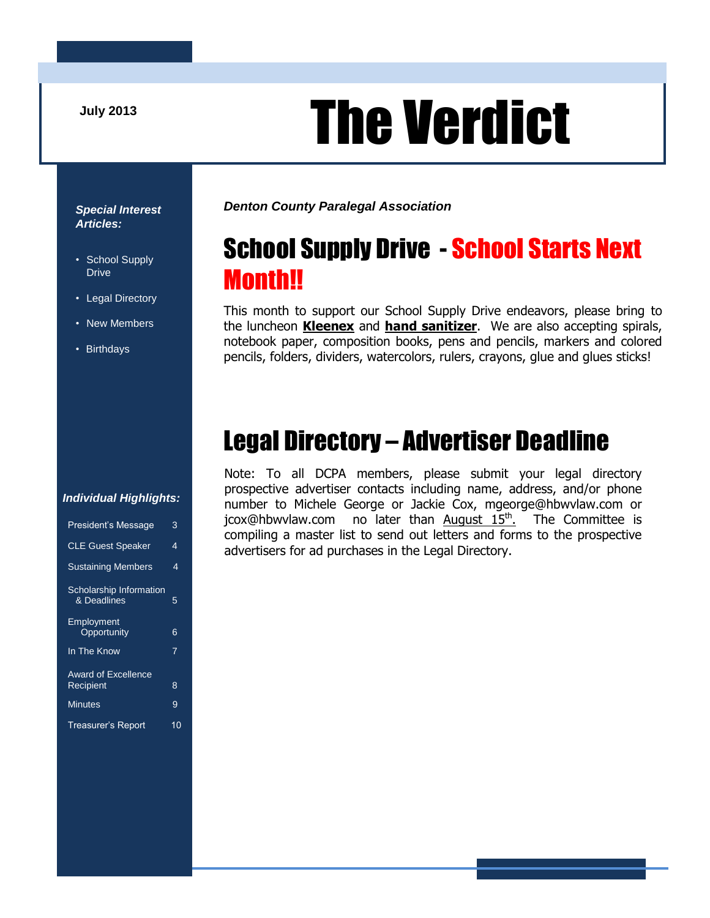## **July 2013** The Verdict

#### *Special Interest Articles:*

- School Supply Drive
- Legal Directory
- New Members
- Birthdays

*Denton County Paralegal Association*

## School Supply Drive - School Starts Next Month!!

This month to support our School Supply Drive endeavors, please bring to the luncheon **Kleenex** and **hand sanitizer**. We are also accepting spirals, notebook paper, composition books, pens and pencils, markers and colored pencils, folders, dividers, watercolors, rulers, crayons, glue and glues sticks!

## Legal Directory – Advertiser Deadline

Note: To all DCPA members, please submit your legal directory prospective advertiser contacts including name, address, and/or phone number to Michele George or Jackie Cox, mgeorge@hbwvlaw.com or jcox@hbwvlaw.com no later than August 15<sup>th</sup>. The Committee is compiling a master list to send out letters and forms to the prospective advertisers for ad purchases in the Legal Directory.

#### *Individual Highlights:*

| <b>President's Message</b>                    | 3  |
|-----------------------------------------------|----|
| <b>CLE Guest Speaker</b>                      | 4  |
| <b>Sustaining Members</b>                     | 4  |
| <b>Scholarship Information</b><br>& Deadlines | 5  |
| <b>Employment</b><br>Opportunity              | 6  |
| In The Know                                   | 7  |
| Award of Excellence<br>Recipient              | 8  |
| <b>Minutes</b>                                | 9  |
| Treasurer's Report                            | 10 |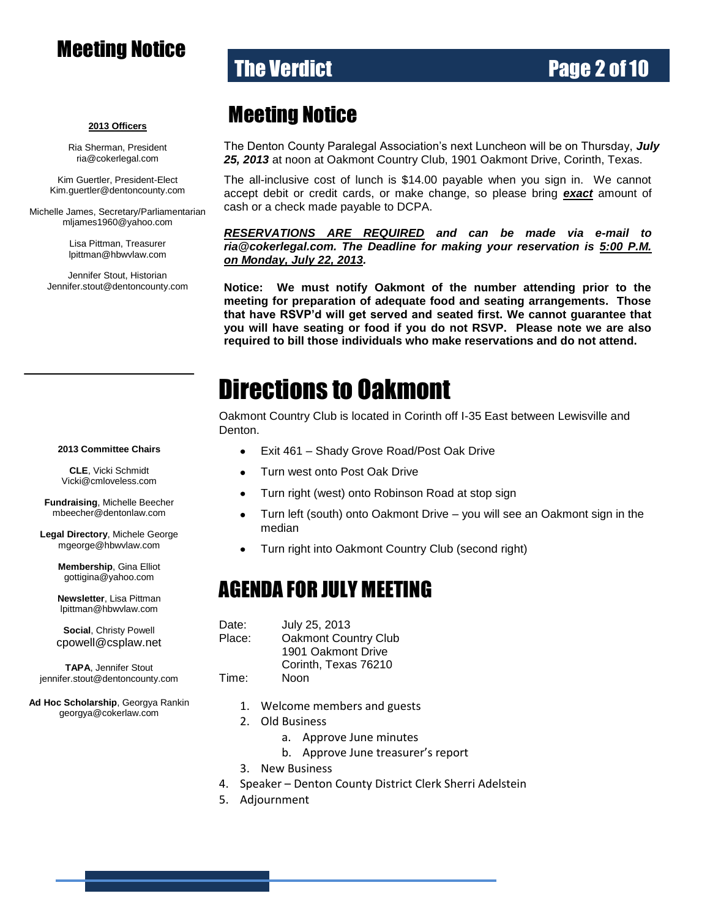#### Meeting Notice

#### **The Verdict Community Community Page 2 of 10**

#### **2013 Officers**

Ria Sherman, President [ria@cokerlegal.com](mailto:ria@cokerlegal.com)

Kim Guertler, President-Elect [Kim.guertler@dentoncounty.com](mailto:Kim.guertler@dentoncounty.com)

Michelle James, Secretary/Parliamentarian [mljames1960@yahoo.com](mailto:mljames1960@yahoo.com)

> Lisa Pittman, Treasurer [lpittman@hbwvlaw.com](mailto:lpittman@hbwvlaw.com)

Jennifer Stout, Historian Jennifer.stout@dentoncounty.com

#### Meeting Notice

The Denton County Paralegal Association's next Luncheon will be on Thursday, *July 25, 2013* at noon at Oakmont Country Club, 1901 Oakmont Drive, Corinth, Texas.

The all-inclusive cost of lunch is \$14.00 payable when you sign in. We cannot accept debit or credit cards, or make change, so please bring *exact* amount of cash or a check made payable to DCPA.

*RESERVATIONS ARE REQUIRED and can be made via e-mail to ria@cokerlegal.com. The Deadline for making your reservation is 5:00 P.M. on Monday, July 22, 2013.*

**Notice: We must notify Oakmont of the number attending prior to the meeting for preparation of adequate food and seating arrangements. Those that have RSVP'd will get served and seated first. We cannot guarantee that you will have seating or food if you do not RSVP. Please note we are also required to bill those individuals who make reservations and do not attend.**

### Directions to Oakmont

Oakmont Country Club is located in Corinth off I-35 East between Lewisville and Denton.

- Exit 461 Shady Grove Road/Post Oak Drive  $\bullet$
- Turn west onto Post Oak Drive  $\bullet$
- Turn right (west) onto Robinson Road at stop sign  $\bullet$
- $\bullet$ Turn left (south) onto Oakmont Drive – you will see an Oakmont sign in the median
- Turn right into Oakmont Country Club (second right)

#### AGENDA FOR JULY MEETING

| Date:  | July 25, 2013               |
|--------|-----------------------------|
| Place: | <b>Oakmont Country Club</b> |
|        | 1901 Oakmont Drive          |
|        | Corinth, Texas 76210        |
| Time:  | Noon                        |

- 1. Welcome members and guests
- 2. Old Business
	- a. Approve June minutes
	- b. Approve June treasurer's report
- 3. New Business
- 4. Speaker Denton County District Clerk Sherri Adelstein
- 5. Adjournment

#### **2013 Committee Chairs**

**CLE**, Vicki Schmidt [Vicki@cmloveless.com](mailto:Vicki@cmloveless.com)

**Fundraising**, Michelle Beecher [mbeecher@dentonlaw.com](mailto:mbeecher@dentonlaw.com)

**Legal Directory**, Michele George [mgeorge@hbwvlaw.com](mailto:mgeorge@hbwvlaw.com)

> **Membership**, Gina Elliot [gottigina@yahoo.com](mailto:gottigina@yahoo.com)

> **Newsletter**, Lisa Pittman [lpittman@hbwvlaw.com](mailto:lpittman@hbwvlaw.com)

**Social**, Christy Powell [cpowell@csplaw.net](mailto:cpowell@csplaw.net)

**TAPA**, Jennifer Stout [jennifer.stout@dentoncounty.com](mailto:sunnie@zellmerlaw.com)

**Ad Hoc Scholarship**, Georgya Rankin [georgya@cokerlaw.com](mailto:georgya@cokerlaw.com)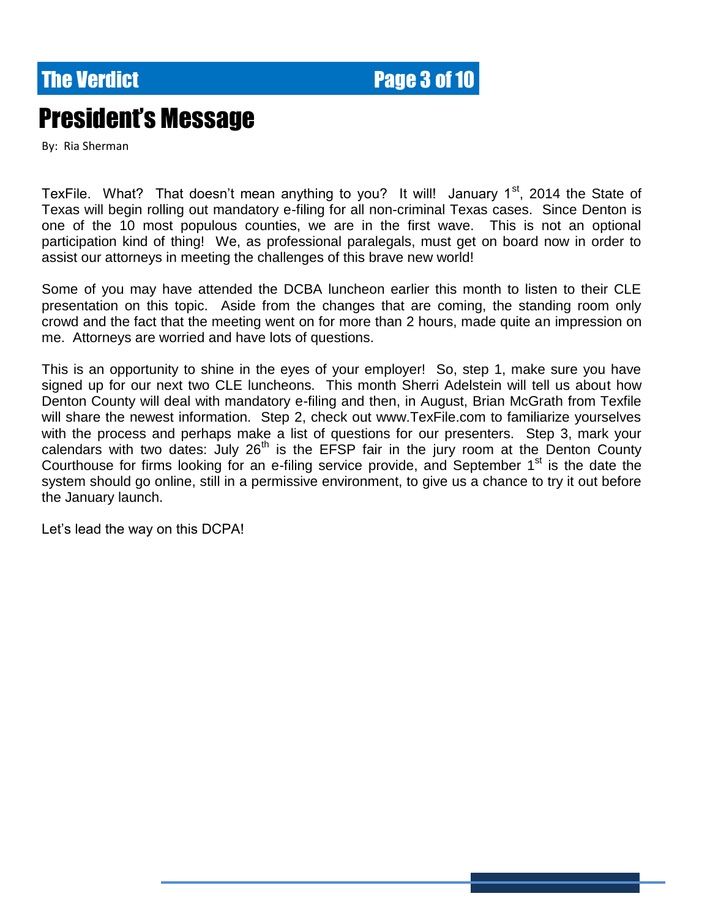**The Verdict Community Community Page 3 of 10** 

## President's Message

By: Ria Sherman

TexFile. What? That doesn't mean anything to you? It will! January  $1<sup>st</sup>$ , 2014 the State of Texas will begin rolling out mandatory e-filing for all non-criminal Texas cases. Since Denton is one of the 10 most populous counties, we are in the first wave. This is not an optional participation kind of thing! We, as professional paralegals, must get on board now in order to assist our attorneys in meeting the challenges of this brave new world!

Some of you may have attended the DCBA luncheon earlier this month to listen to their CLE presentation on this topic. Aside from the changes that are coming, the standing room only crowd and the fact that the meeting went on for more than 2 hours, made quite an impression on me. Attorneys are worried and have lots of questions.

This is an opportunity to shine in the eyes of your employer! So, step 1, make sure you have signed up for our next two CLE luncheons. This month Sherri Adelstein will tell us about how Denton County will deal with mandatory e-filing and then, in August, Brian McGrath from Texfile will share the newest information. Step 2, check out www.TexFile.com to familiarize yourselves with the process and perhaps make a list of questions for our presenters. Step 3, mark your calendars with two dates: July  $26<sup>th</sup>$  is the EFSP fair in the jury room at the Denton County Courthouse for firms looking for an e-filing service provide, and September  $1<sup>st</sup>$  is the date the system should go online, still in a permissive environment, to give us a chance to try it out before the January launch.

Let's lead the way on this DCPA!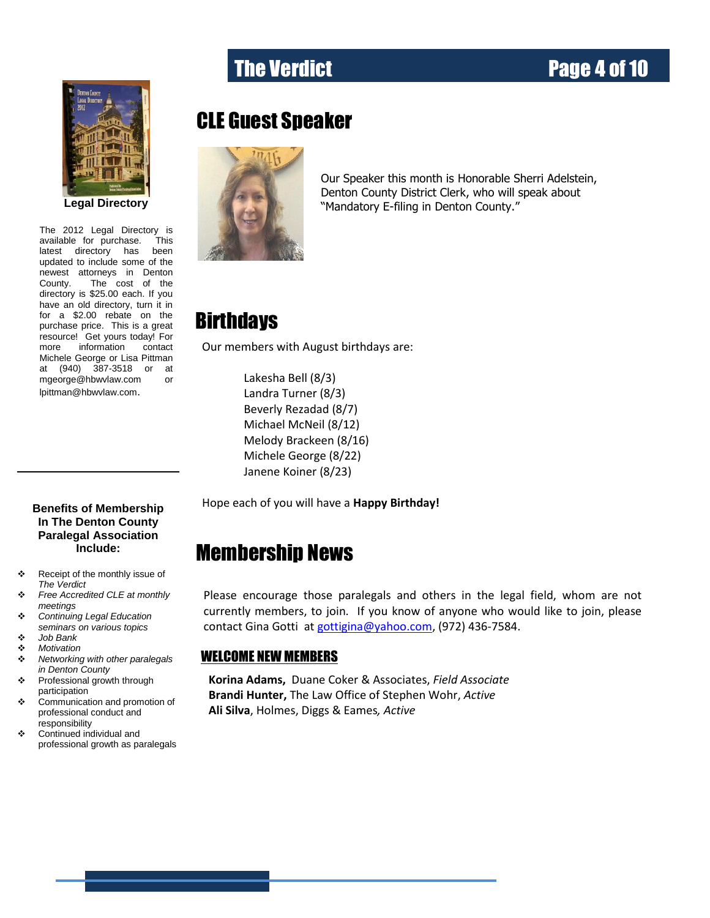# **Legal Directory**

more information contact The 2012 Legal Directory is available for purchase. This latest directory has been updated to include some of the newest attorneys in Denton County. The cost of the directory is \$25.00 each. If you have an old directory, turn it in for a \$2.00 rebate on the purchase price. This is a great resource! Get yours today! For Michele George or Lisa Pittman at (940) 387-3518 or at [mgeorge@hbwvlaw.com](mailto:mgeorge@hbwvlaw.com) or [lpittman@hbwvlaw.com](mailto:lpittman@hbwvlaw.com).

#### CLE Guest Speaker



Our Speaker this month is Honorable Sherri Adelstein, Denton County District Clerk, who will speak about "Mandatory E-filing in Denton County."

#### **Birthdays**

Our members with August birthdays are:

Lakesha Bell (8/3) Landra Turner (8/3) Beverly Rezadad (8/7) Michael McNeil (8/12) Melody Brackeen (8/16) Michele George (8/22) Janene Koiner (8/23)

Hope each of you will have a **Happy Birthday!**

#### Membership News

Please encourage those paralegals and others in the legal field, whom are not currently members, to join. If you know of anyone who would like to join, please contact Gina Gotti a[t gottigina@yahoo.com,](mailto:gottigina@yahoo.com) (972) 436-7584.

#### WELCOME NEW MEMBERS

**Korina Adams,** Duane Coker & Associates, *Field Associate* **Brandi Hunter,** The Law Office of Stephen Wohr, *Active* **Ali Silva**, Holmes, Diggs & Eames*, Active*

#### **Benefits of Membership In The Denton County Paralegal Association Include:**

- \* Receipt of the monthly issue of *The Verdict*
- *Free Accredited CLE at monthly meetings*
- *Continuing Legal Education seminars on various topics*
- *Job Bank*
- *Motivation*
- *Networking with other paralegals in Denton County*
- Professional growth through participation
- Communication and promotion of professional conduct and responsibility
- Continued individual and professional growth as paralegals

#### The Verdict **Page 4 of 10**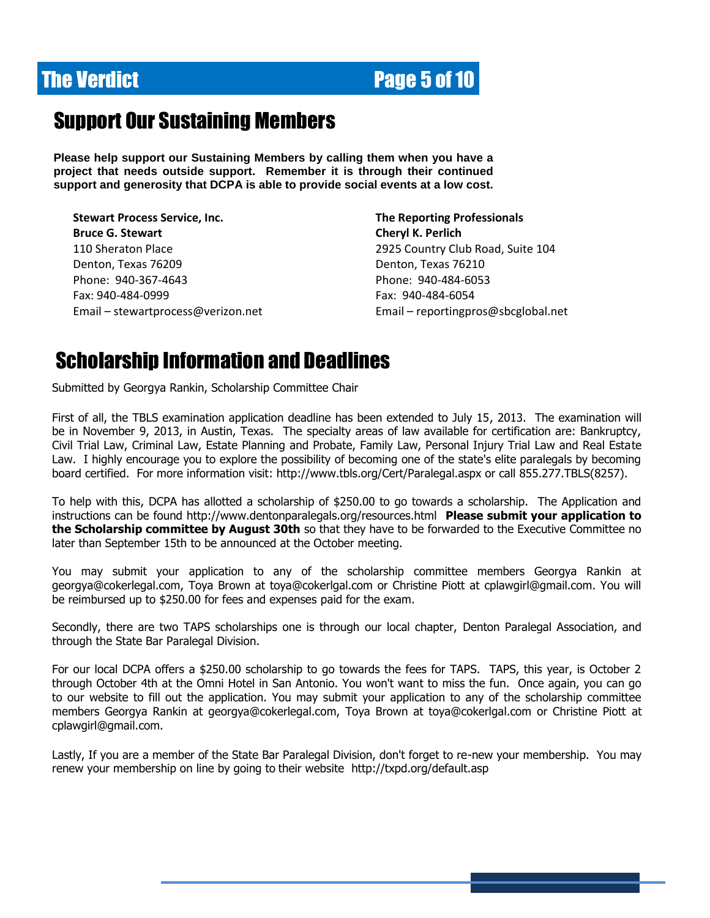## **The Verdict Community Community Page 5 of 10**

#### Support Our Sustaining Members

**Please help support our Sustaining Members by calling them when you have a project that needs outside support. Remember it is through their continued support and generosity that DCPA is able to provide social events at a low cost.**

**Stewart Process Service, Inc. The Reporting Professionals Bruce G. Stewart Cheryl K. Perlich** 110 Sheraton Place 2925 Country Club Road, Suite 104 Denton, Texas 76209 Denton, Texas 76210 Phone: 940-367-4643 Phone: 940-484-6053 Fax: 940-484-0999 Fax: 940-484-6054

Email – [stewartprocess@verizon.net](mailto:stewartprocess@verizon.net) Email – [reportingpros@sbcglobal.net](mailto:reportingpros@sbcglobal.net)

#### Scholarship Information and Deadlines

Submitted by Georgya Rankin, Scholarship Committee Chair

First of all, the TBLS examination application deadline has been extended to July 15, 2013. The examination will be in November 9, 2013, in Austin, Texas. The specialty areas of law available for certification are: Bankruptcy, Civil Trial Law, Criminal Law, Estate Planning and Probate, Family Law, Personal Injury Trial Law and Real Estate Law. I highly encourage you to explore the possibility of becoming one of the state's elite paralegals by becoming board certified. For more information visit: http://www.tbls.org/Cert/Paralegal.aspx or call 855.277.TBLS(8257).

To help with this, DCPA has allotted a scholarship of \$250.00 to go towards a scholarship. The Application and instructions can be found http://www.dentonparalegals.org/resources.html **Please submit your application to the Scholarship committee by August 30th** so that they have to be forwarded to the Executive Committee no later than September 15th to be announced at the October meeting.

You may submit your application to any of the scholarship committee members Georgya Rankin at [georgya@cokerlegal.com,](mailto:georgya@cokerlegal.com) Toya Brown at toya@cokerlgal.com or Christine Piott at cplawgirl@gmail.com. You will be reimbursed up to \$250.00 for fees and expenses paid for the exam.

Secondly, there are two TAPS scholarships one is through our local chapter, Denton Paralegal Association, and through the State Bar Paralegal Division.

For our local DCPA offers a \$250.00 scholarship to go towards the fees for TAPS. TAPS, this year, is October 2 through October 4th at the Omni Hotel in San Antonio. You won't want to miss the fun. Once again, you can go to our website to fill out the application. You may submit your application to any of the scholarship committee members Georgya Rankin at georgya@cokerlegal.com, Toya Brown at toya@cokerlgal.com or Christine Piott at cplawgirl@gmail.com.

Lastly, If you are a member of the State Bar Paralegal Division, don't forget to re-new your membership. You may renew your membership on line by going to their website http://txpd.org/default.asp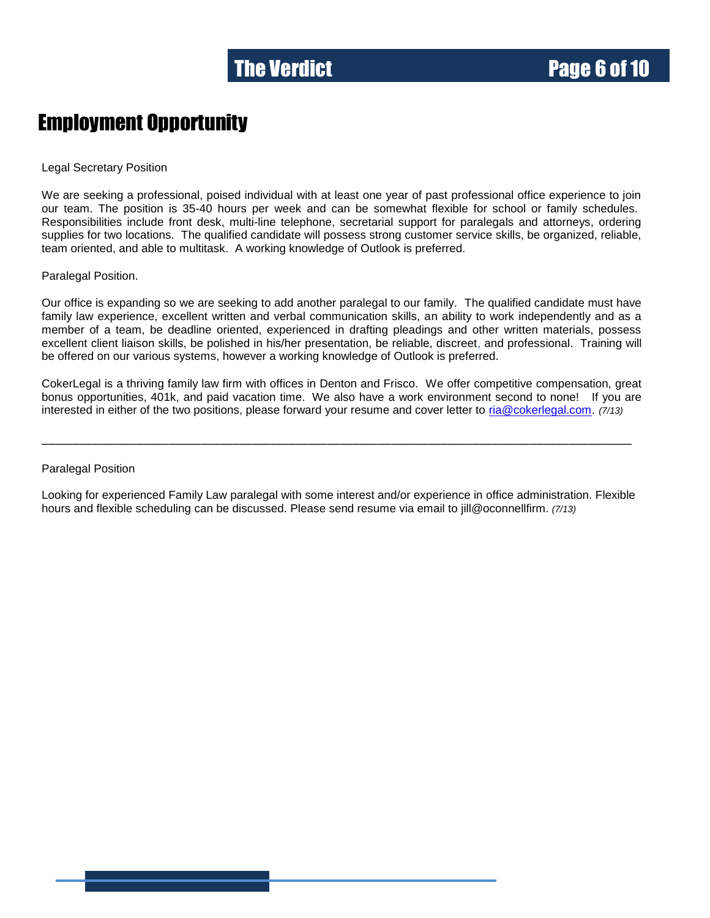#### Employment Opportunity

Legal Secretary Position

We are seeking a professional, poised individual with at least one year of past professional office experience to join our team. The position is 35-40 hours per week and can be somewhat flexible for school or family schedules. Responsibilities include front desk, multi-line telephone, secretarial support for paralegals and attorneys, ordering supplies for two locations. The qualified candidate will possess strong customer service skills, be organized, reliable, team oriented, and able to multitask. A working knowledge of Outlook is preferred.

Paralegal Position.

Our office is expanding so we are seeking to add another paralegal to our family. The qualified candidate must have family law experience, excellent written and verbal communication skills, an ability to work independently and as a member of a team, be deadline oriented, experienced in drafting pleadings and other written materials, possess excellent client liaison skills, be polished in his/her presentation, be reliable, discreet, and professional. Training will be offered on our various systems, however a working knowledge of Outlook is preferred.

CokerLegal is a thriving family law firm with offices in Denton and Frisco. We offer competitive compensation, great bonus opportunities, 401k, and paid vacation time. We also have a work environment second to none! If you are interested in either of the two positions, please forward your resume and cover letter to [ria@cokerlegal.com.](javascript:return) *(7/13)*

\_\_\_\_\_\_\_\_\_\_\_\_\_\_\_\_\_\_\_\_\_\_\_\_\_\_\_\_\_\_\_\_\_\_\_\_\_\_\_\_\_\_\_\_\_\_\_\_\_\_\_\_\_\_\_\_\_\_\_\_\_\_\_\_\_\_\_\_\_\_\_\_\_\_\_\_\_\_\_\_\_\_\_\_\_\_\_\_\_\_\_\_\_

Paralegal Position

Looking for experienced Family Law paralegal with some interest and/or experience in office administration. Flexible hours and flexible scheduling can be discussed. Please send resume via email to jill@oconnellfirm. *(7/13)*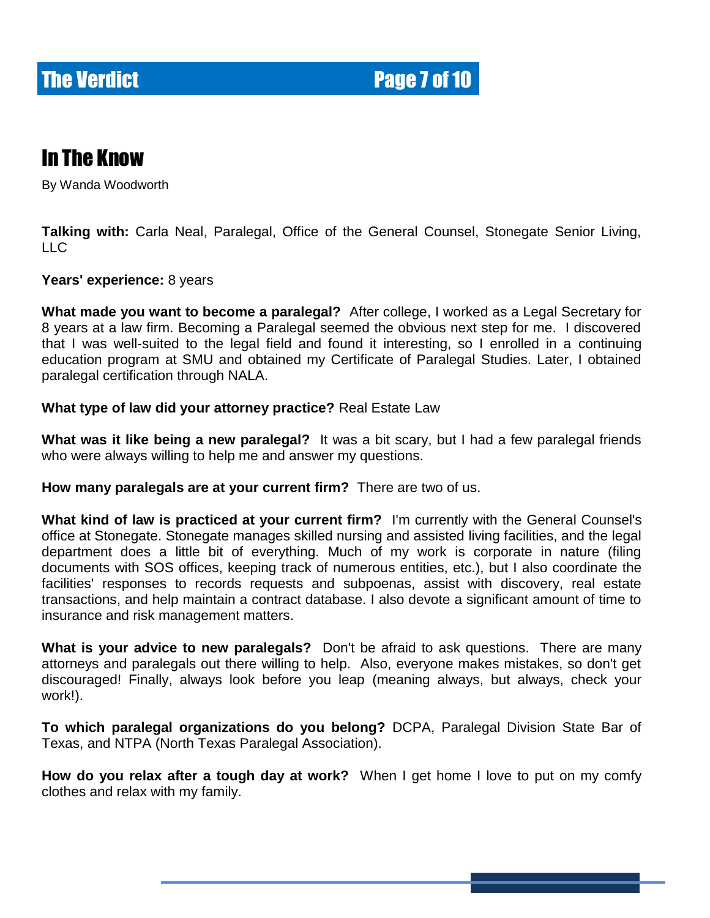#### In The Know

By Wanda Woodworth

**Talking with:** Carla Neal, Paralegal, Office of the General Counsel, Stonegate Senior Living, LLC

**Years' experience:** 8 years

**What made you want to become a paralegal?** After college, I worked as a Legal Secretary for 8 years at a law firm. Becoming a Paralegal seemed the obvious next step for me. I discovered that I was well-suited to the legal field and found it interesting, so I enrolled in a continuing education program at SMU and obtained my Certificate of Paralegal Studies. Later, I obtained paralegal certification through NALA.

#### **What type of law did your attorney practice?** Real Estate Law

**What was it like being a new paralegal?** It was a bit scary, but I had a few paralegal friends who were always willing to help me and answer my questions.

**How many paralegals are at your current firm?** There are two of us.

**What kind of law is practiced at your current firm?** I'm currently with the General Counsel's office at Stonegate. Stonegate manages skilled nursing and assisted living facilities, and the legal department does a little bit of everything. Much of my work is corporate in nature (filing documents with SOS offices, keeping track of numerous entities, etc.), but I also coordinate the facilities' responses to records requests and subpoenas, assist with discovery, real estate transactions, and help maintain a contract database. I also devote a significant amount of time to insurance and risk management matters.

**What is your advice to new paralegals?** Don't be afraid to ask questions. There are many attorneys and paralegals out there willing to help. Also, everyone makes mistakes, so don't get discouraged! Finally, always look before you leap (meaning always, but always, check your work!).

**To which paralegal organizations do you belong?** DCPA, Paralegal Division State Bar of Texas, and NTPA (North Texas Paralegal Association).

**How do you relax after a tough day at work?** When I get home I love to put on my comfy clothes and relax with my family.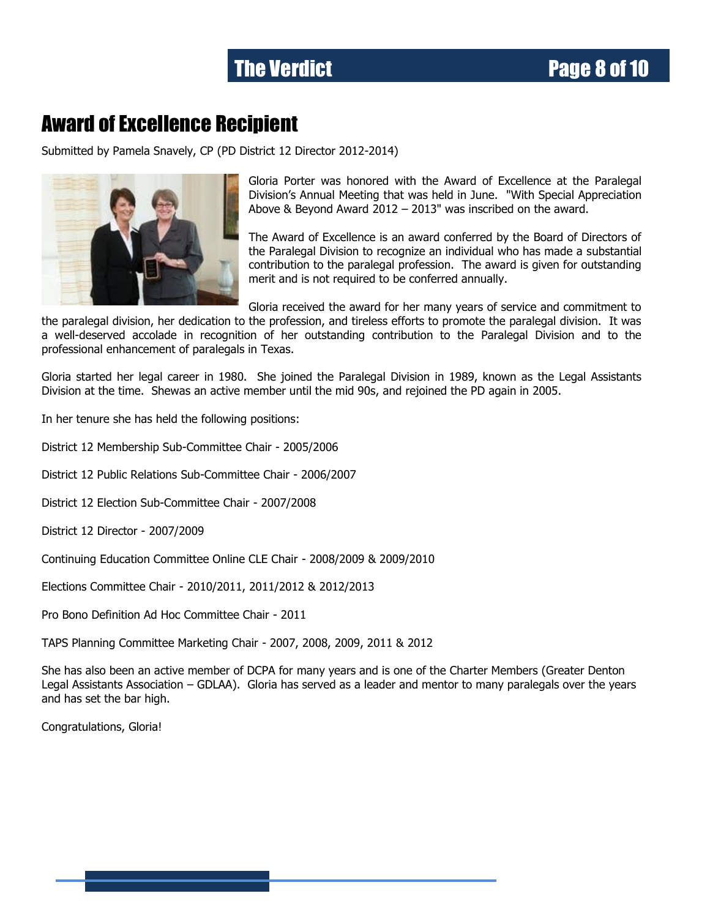#### Award of Excellence Recipient

Submitted by Pamela Snavely, CP (PD District 12 Director 2012-2014)



Gloria Porter was honored with the Award of Excellence at the Paralegal Division's Annual Meeting that was held in June. "With Special Appreciation Above & Beyond Award 2012 – 2013" was inscribed on the award.

The Award of Excellence is an award conferred by the Board of Directors of the Paralegal Division to recognize an individual who has made a substantial contribution to the paralegal profession. The award is given for outstanding merit and is not required to be conferred annually.

Gloria received the award for her many years of service and commitment to the paralegal division, her dedication to the profession, and tireless efforts to promote the paralegal division. It was a well-deserved accolade in recognition of her outstanding contribution to the Paralegal Division and to the professional enhancement of paralegals in Texas.

Gloria started her legal career in 1980. She joined the Paralegal Division in 1989, known as the Legal Assistants Division at the time. Shewas an active member until the mid 90s, and rejoined the PD again in 2005.

In her tenure she has held the following positions:

District 12 Membership Sub-Committee Chair - 2005/2006

District 12 Public Relations Sub-Committee Chair - 2006/2007

District 12 Election Sub-Committee Chair - 2007/2008

District 12 Director - 2007/2009

Continuing Education Committee Online CLE Chair - 2008/2009 & 2009/2010

Elections Committee Chair - 2010/2011, 2011/2012 & 2012/2013

Pro Bono Definition Ad Hoc Committee Chair - 2011

TAPS Planning Committee Marketing Chair - 2007, 2008, 2009, 2011 & 2012

She has also been an active member of DCPA for many years and is one of the Charter Members (Greater Denton Legal Assistants Association – GDLAA). Gloria has served as a leader and mentor to many paralegals over the years and has set the bar high.

Congratulations, Gloria!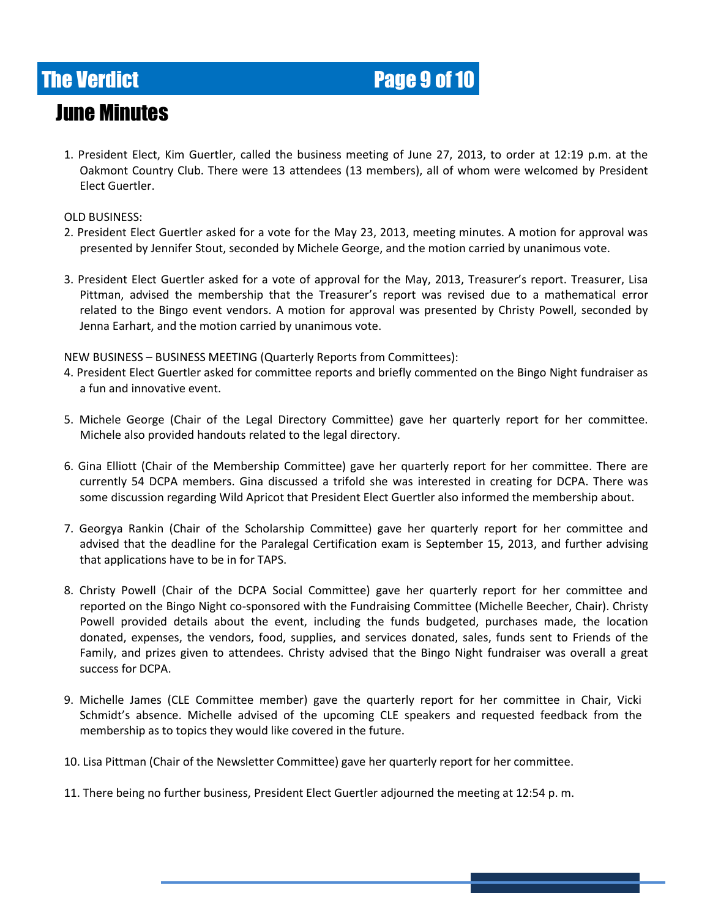## **The Verdict Community Community Page 9 of 10**

#### June Minutes

1. President Elect, Kim Guertler, called the business meeting of June 27, 2013, to order at 12:19 p.m. at the Oakmont Country Club. There were 13 attendees (13 members), all of whom were welcomed by President Elect Guertler.

#### OLD BUSINESS:

- 2. President Elect Guertler asked for a vote for the May 23, 2013, meeting minutes. A motion for approval was presented by Jennifer Stout, seconded by Michele George, and the motion carried by unanimous vote.
- 3. President Elect Guertler asked for a vote of approval for the May, 2013, Treasurer's report. Treasurer, Lisa Pittman, advised the membership that the Treasurer's report was revised due to a mathematical error related to the Bingo event vendors. A motion for approval was presented by Christy Powell, seconded by Jenna Earhart, and the motion carried by unanimous vote.

NEW BUSINESS – BUSINESS MEETING (Quarterly Reports from Committees):

- 4. President Elect Guertler asked for committee reports and briefly commented on the Bingo Night fundraiser as a fun and innovative event.
- 5. Michele George (Chair of the Legal Directory Committee) gave her quarterly report for her committee. Michele also provided handouts related to the legal directory.
- 6. Gina Elliott (Chair of the Membership Committee) gave her quarterly report for her committee. There are currently 54 DCPA members. Gina discussed a trifold she was interested in creating for DCPA. There was some discussion regarding Wild Apricot that President Elect Guertler also informed the membership about.
- 7. Georgya Rankin (Chair of the Scholarship Committee) gave her quarterly report for her committee and advised that the deadline for the Paralegal Certification exam is September 15, 2013, and further advising that applications have to be in for TAPS.
- 8. Christy Powell (Chair of the DCPA Social Committee) gave her quarterly report for her committee and reported on the Bingo Night co-sponsored with the Fundraising Committee (Michelle Beecher, Chair). Christy Powell provided details about the event, including the funds budgeted, purchases made, the location donated, expenses, the vendors, food, supplies, and services donated, sales, funds sent to Friends of the Family, and prizes given to attendees. Christy advised that the Bingo Night fundraiser was overall a great success for DCPA.
- 9. Michelle James (CLE Committee member) gave the quarterly report for her committee in Chair, Vicki Schmidt's absence. Michelle advised of the upcoming CLE speakers and requested feedback from the membership as to topics they would like covered in the future.
- 10. Lisa Pittman (Chair of the Newsletter Committee) gave her quarterly report for her committee.
- 11. There being no further business, President Elect Guertler adjourned the meeting at 12:54 p. m.